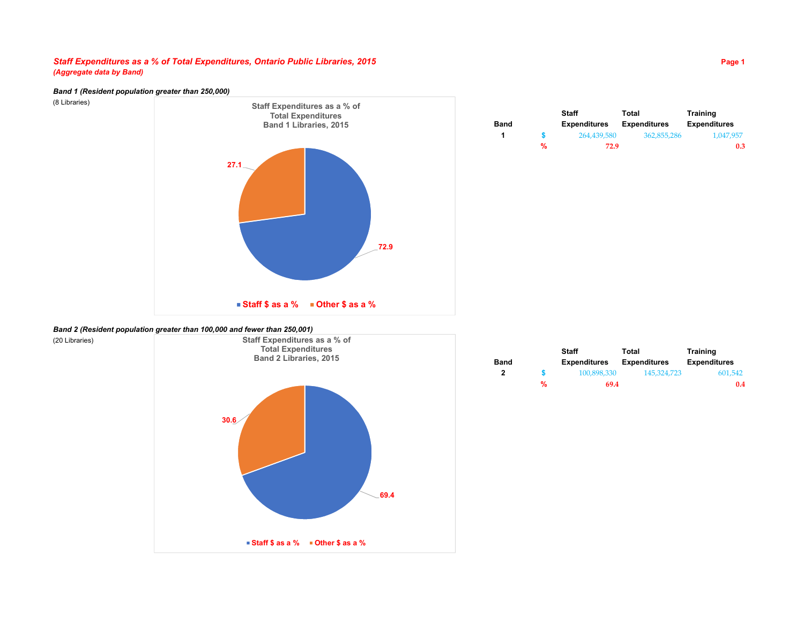## *Staff Expenditures as a % of Total Expenditures, Ontario Public Libraries, 2015* **Page 1** *(Aggregate data by Band)*

## *Band 1 (Resident population greater than 250,000)*

(8 Libraries)



|      |   | <b>Staff</b>        | Total               | <b>Training</b>     |
|------|---|---------------------|---------------------|---------------------|
| Band |   | <b>Expenditures</b> | <b>Expenditures</b> | <b>Expenditures</b> |
| -1   |   | 264.439.580         | 362.855.286         | 1.047.957           |
|      | % | 72.9                |                     | 0.3                 |

#### *Band 2 (Resident population greater than 100,000 and fewer than 250,001)*



|      |   | Staff               | Total               | <b>Training</b>     |
|------|---|---------------------|---------------------|---------------------|
| Band |   | <b>Expenditures</b> | <b>Expenditures</b> | <b>Expenditures</b> |
| 2    |   | 100.898.330         | 145.324.723         | 601.542             |
|      | % | 69.4                |                     | 0.4                 |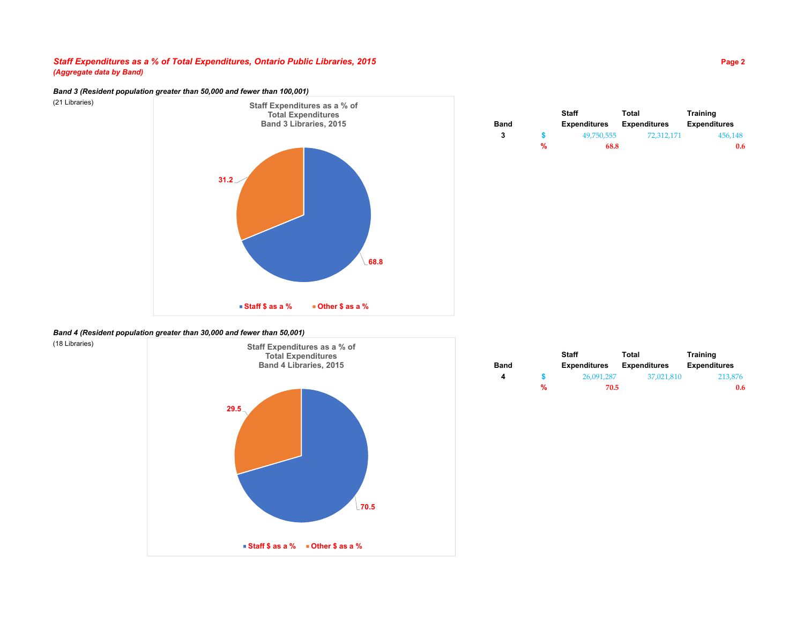## *Staff Expenditures as a % of Total Expenditures, Ontario Public Libraries, 2015* **Page 2** *(Aggregate data by Band)*

*Band 3 (Resident population greater than 50,000 and fewer than 100,001)*

(21 Libraries)



|             |   | <b>Staff</b>        | Total               | Training            |
|-------------|---|---------------------|---------------------|---------------------|
| <b>Band</b> |   | <b>Expenditures</b> | <b>Expenditures</b> | <b>Expenditures</b> |
| 3           |   | 49.750.555          | 72.312.171          | 456.148             |
|             | % | 68.8                |                     | 0.6                 |

### *Band 4 (Resident population greater than 30,000 and fewer than 50,001)*



|             |   | Staff               | Total               | <b>Training</b>     |
|-------------|---|---------------------|---------------------|---------------------|
| <b>Band</b> |   | <b>Expenditures</b> | <b>Expenditures</b> | <b>Expenditures</b> |
| 4           |   | 26.091.287          | 37,021,810          | 213,876             |
|             | % | 70.5                |                     | 0.6                 |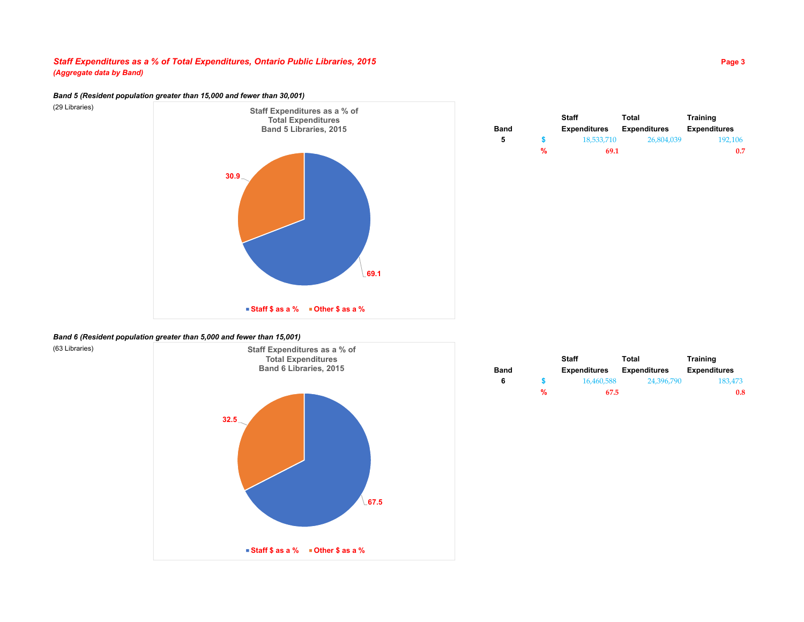# *Staff Expenditures as a % of Total Expenditures, Ontario Public Libraries, 2015* **Page 3** *(Aggregate data by Band)*

# *Band 5 (Resident population greater than 15,000 and fewer than 30,001)*

(29 Libraries)



|      |   | <b>Staff</b>        | Total               | <b>Training</b>     |
|------|---|---------------------|---------------------|---------------------|
| Band |   | <b>Expenditures</b> | <b>Expenditures</b> | <b>Expenditures</b> |
| 5    |   | 18,533,710          | 26.804.039          | 192.106             |
|      | % | 69.1                |                     | 0.7                 |

# *Band 6 (Resident population greater than 5,000 and fewer than 15,001)*



|      |   | Staff               | Total               | <b>Training</b>     |
|------|---|---------------------|---------------------|---------------------|
| Band |   | <b>Expenditures</b> | <b>Expenditures</b> | <b>Expenditures</b> |
| 6    |   | 16.460.588          | 24.396.790          | 183.473             |
|      | % | 67.5                |                     | 0.8                 |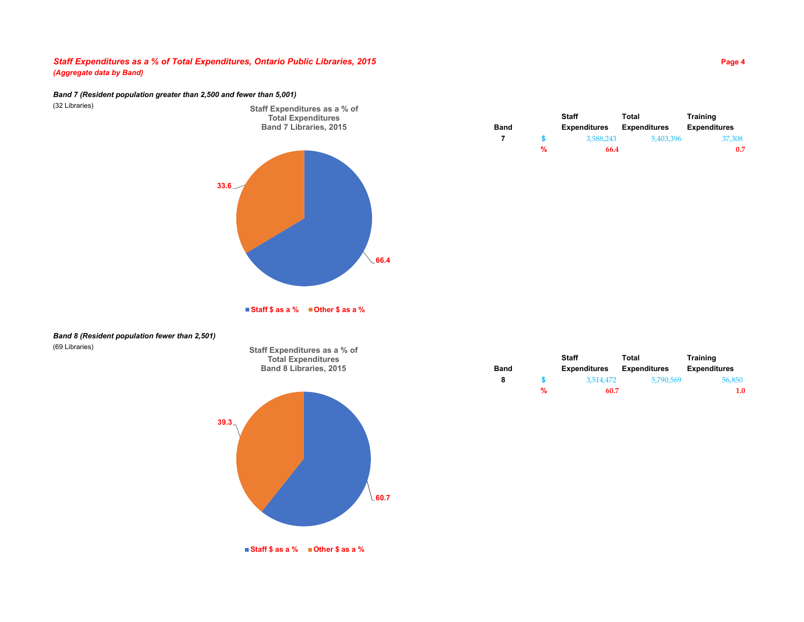# *Staff Expenditures as a % of Total Expenditures, Ontario Public Libraries, 2015* **Page 4** *(Aggregate data by Band)*

#### *Band 7 (Resident population greater than 2,500 and fewer than 5,001)*

(32 Libraries)



**Staff Expenditures as a % of** 

**Staff Total Training Band Expenditures Expenditures Expenditures 7 \$** 3,588,243 5,403,396 37,308 **% 66.4 0.7**

**Staff \$ as a % Other \$ as a %**

**Staff Expenditures as a % of Total Expenditures**

### *Band 8 (Resident population fewer than 2,501)* (69 Libraries)



|             |   | <b>Staff</b>        | Total               | <b>Training</b>     |
|-------------|---|---------------------|---------------------|---------------------|
| <b>Band</b> |   | <b>Expenditures</b> | <b>Expenditures</b> | <b>Expenditures</b> |
| 8           |   | 3.514.472           | 5.790.569           | 56,850              |
|             | % | 60.7                |                     | 1.0                 |